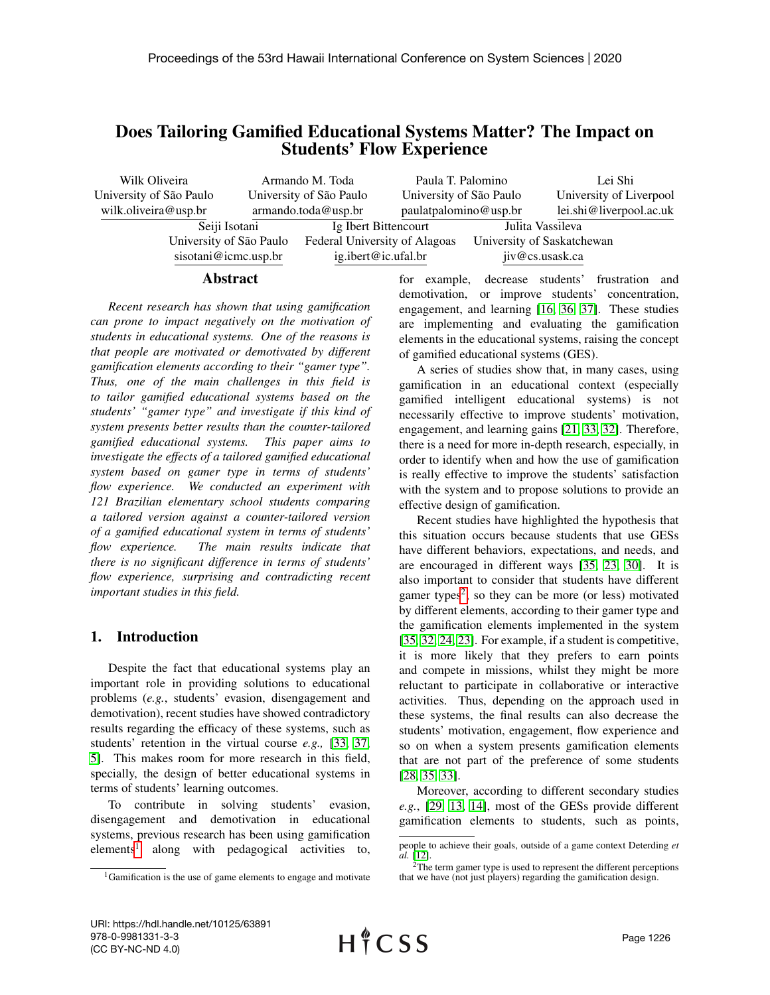# Does Tailoring Gamified Educational Systems Matter? The Impact on Students' Flow Experience

| Wilk Oliveira           | Armando M. Toda         |                               | Paula T. Palomino       |                            | Lei Shi                 |
|-------------------------|-------------------------|-------------------------------|-------------------------|----------------------------|-------------------------|
| University of São Paulo | University of São Paulo |                               | University of São Paulo |                            | University of Liverpool |
| wilk.oliveira@usp.br    | armando. to da @usp.br  |                               | paulatpalomino@usp.br   |                            | lei.shi@liverpool.ac.uk |
| Seiji Isotani           |                         | Ig Ibert Bittencourt          |                         | Julita Vassileva           |                         |
| University of São Paulo |                         | Federal University of Alagoas |                         | University of Saskatchewan |                         |
| sisotani@icmc.usp.br    |                         | ig.ibert@ic.ufal.br           |                         |                            | jiv@cs.usask.ca         |

#### Abstract

*Recent research has shown that using gamification can prone to impact negatively on the motivation of students in educational systems. One of the reasons is that people are motivated or demotivated by different gamification elements according to their "gamer type". Thus, one of the main challenges in this field is to tailor gamified educational systems based on the students' "gamer type" and investigate if this kind of system presents better results than the counter-tailored gamified educational systems. This paper aims to investigate the effects of a tailored gamified educational system based on gamer type in terms of students' flow experience. We conducted an experiment with 121 Brazilian elementary school students comparing a tailored version against a counter-tailored version of a gamified educational system in terms of students' flow experience. The main results indicate that there is no significant difference in terms of students' flow experience, surprising and contradicting recent important studies in this field.*

### 1. Introduction

Despite the fact that educational systems play an important role in providing solutions to educational problems (*e.g.*, students' evasion, disengagement and demotivation), recent studies have showed contradictory results regarding the efficacy of these systems, such as students' retention in the virtual course *e.g.,* [\[33,](#page-9-0) [37,](#page-9-1) [5\]](#page-8-0). This makes room for more research in this field, specially, the design of better educational systems in terms of students' learning outcomes.

To contribute in solving students' evasion, disengagement and demotivation in educational systems, previous research has been using gamification elements<sup>[1](#page-0-0)</sup> along with pedagogical activities to,

for example, decrease students' frustration and demotivation, or improve students' concentration, engagement, and learning [\[16,](#page-9-2) [36,](#page-9-3) [37\]](#page-9-1). These studies are implementing and evaluating the gamification elements in the educational systems, raising the concept of gamified educational systems (GES).

A series of studies show that, in many cases, using gamification in an educational context (especially gamified intelligent educational systems) is not necessarily effective to improve students' motivation, engagement, and learning gains [\[21,](#page-9-4) [33,](#page-9-0) [32\]](#page-9-5). Therefore, there is a need for more in-depth research, especially, in order to identify when and how the use of gamification is really effective to improve the students' satisfaction with the system and to propose solutions to provide an effective design of gamification.

Recent studies have highlighted the hypothesis that this situation occurs because students that use GESs have different behaviors, expectations, and needs, and are encouraged in different ways [\[35,](#page-9-6) [23,](#page-9-7) [30\]](#page-9-8). It is also important to consider that students have different gamer types<sup>[2](#page-0-1)</sup>, so they can be more (or less) motivated by different elements, according to their gamer type and the gamification elements implemented in the system [\[35,](#page-9-6) [32,](#page-9-5) [24,](#page-9-9) [23\]](#page-9-7). For example, if a student is competitive, it is more likely that they prefers to earn points and compete in missions, whilst they might be more reluctant to participate in collaborative or interactive activities. Thus, depending on the approach used in these systems, the final results can also decrease the students' motivation, engagement, flow experience and so on when a system presents gamification elements that are not part of the preference of some students [\[28,](#page-9-10) [35,](#page-9-6) [33\]](#page-9-0).

Moreover, according to different secondary studies *e.g.*, [\[29,](#page-9-11) [13,](#page-8-1) [14\]](#page-8-2), most of the GESs provide different gamification elements to students, such as points,

<span id="page-0-0"></span><sup>1</sup>Gamification is the use of game elements to engage and motivate

people to achieve their goals, outside of a game context Deterding *et al.* [\[12\]](#page-8-3).

<span id="page-0-1"></span> $2$ The term gamer type is used to represent the different perceptions that we have (not just players) regarding the gamification design.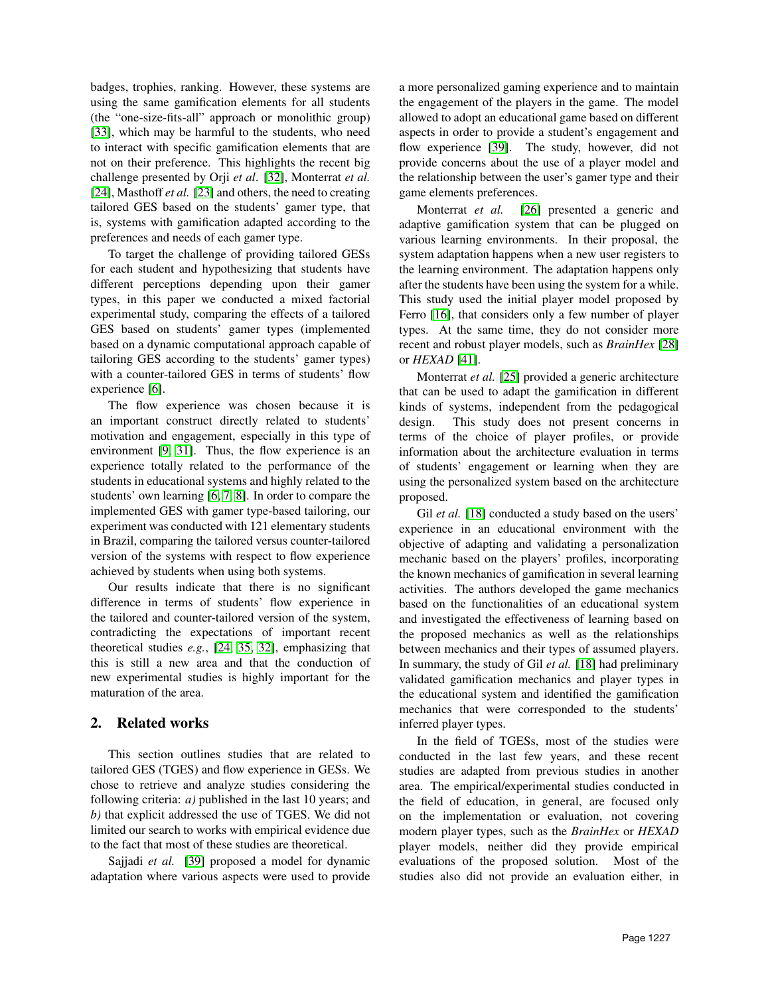badges, trophies, ranking. However, these systems are using the same gamification elements for all students (the "one-size-fits-all" approach or monolithic group) [\[33\]](#page-9-0), which may be harmful to the students, who need to interact with specific gamification elements that are not on their preference. This highlights the recent big challenge presented by Orji *et al*. [\[32\]](#page-9-5), Monterrat *et al.* [\[24\]](#page-9-9), Masthoff *et al.* [\[23\]](#page-9-7) and others, the need to creating tailored GES based on the students' gamer type, that is, systems with gamification adapted according to the preferences and needs of each gamer type.

To target the challenge of providing tailored GESs for each student and hypothesizing that students have different perceptions depending upon their gamer types, in this paper we conducted a mixed factorial experimental study, comparing the effects of a tailored GES based on students' gamer types (implemented based on a dynamic computational approach capable of tailoring GES according to the students' gamer types) with a counter-tailored GES in terms of students' flow experience [\[6\]](#page-8-4).

The flow experience was chosen because it is an important construct directly related to students' motivation and engagement, especially in this type of environment [\[9,](#page-8-5) [31\]](#page-9-12). Thus, the flow experience is an experience totally related to the performance of the students in educational systems and highly related to the students' own learning [\[6,](#page-8-4) [7,](#page-8-6) [8\]](#page-8-7). In order to compare the implemented GES with gamer type-based tailoring, our experiment was conducted with 121 elementary students in Brazil, comparing the tailored versus counter-tailored version of the systems with respect to flow experience achieved by students when using both systems.

Our results indicate that there is no significant difference in terms of students' flow experience in the tailored and counter-tailored version of the system, contradicting the expectations of important recent theoretical studies *e.g.*, [\[24,](#page-9-9) [35,](#page-9-6) [32\]](#page-9-5), emphasizing that this is still a new area and that the conduction of new experimental studies is highly important for the maturation of the area.

### 2. Related works

This section outlines studies that are related to tailored GES (TGES) and flow experience in GESs. We chose to retrieve and analyze studies considering the following criteria: *a)* published in the last 10 years; and *b)* that explicit addressed the use of TGES. We did not limited our search to works with empirical evidence due to the fact that most of these studies are theoretical.

Sajjadi *et al.* [\[39\]](#page-9-13) proposed a model for dynamic adaptation where various aspects were used to provide a more personalized gaming experience and to maintain the engagement of the players in the game. The model allowed to adopt an educational game based on different aspects in order to provide a student's engagement and flow experience [\[39\]](#page-9-13). The study, however, did not provide concerns about the use of a player model and the relationship between the user's gamer type and their game elements preferences.

Monterrat *et al.* [\[26\]](#page-9-14) presented a generic and adaptive gamification system that can be plugged on various learning environments. In their proposal, the system adaptation happens when a new user registers to the learning environment. The adaptation happens only after the students have been using the system for a while. This study used the initial player model proposed by Ferro [\[16\]](#page-9-2), that considers only a few number of player types. At the same time, they do not consider more recent and robust player models, such as *BrainHex* [\[28\]](#page-9-10) or *HEXAD* [\[41\]](#page-9-15).

Monterrat *et al.* [\[25\]](#page-9-16) provided a generic architecture that can be used to adapt the gamification in different kinds of systems, independent from the pedagogical design. This study does not present concerns in terms of the choice of player profiles, or provide information about the architecture evaluation in terms of students' engagement or learning when they are using the personalized system based on the architecture proposed.

Gil *et al.* [\[18\]](#page-9-17) conducted a study based on the users' experience in an educational environment with the objective of adapting and validating a personalization mechanic based on the players' profiles, incorporating the known mechanics of gamification in several learning activities. The authors developed the game mechanics based on the functionalities of an educational system and investigated the effectiveness of learning based on the proposed mechanics as well as the relationships between mechanics and their types of assumed players. In summary, the study of Gil *et al.* [\[18\]](#page-9-17) had preliminary validated gamification mechanics and player types in the educational system and identified the gamification mechanics that were corresponded to the students' inferred player types.

In the field of TGESs, most of the studies were conducted in the last few years, and these recent studies are adapted from previous studies in another area. The empirical/experimental studies conducted in the field of education, in general, are focused only on the implementation or evaluation, not covering modern player types, such as the *BrainHex* or *HEXAD* player models, neither did they provide empirical evaluations of the proposed solution. Most of the studies also did not provide an evaluation either, in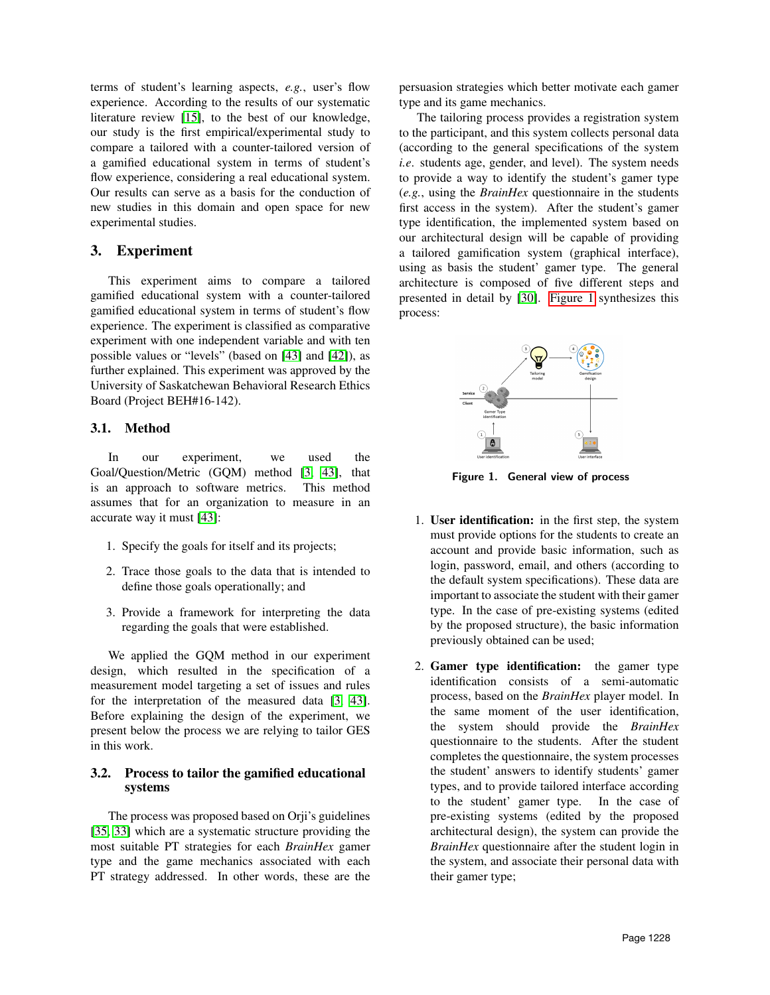terms of student's learning aspects, *e.g.*, user's flow experience. According to the results of our systematic literature review [\[15\]](#page-8-8), to the best of our knowledge, our study is the first empirical/experimental study to compare a tailored with a counter-tailored version of a gamified educational system in terms of student's flow experience, considering a real educational system. Our results can serve as a basis for the conduction of new studies in this domain and open space for new experimental studies.

## 3. Experiment

This experiment aims to compare a tailored gamified educational system with a counter-tailored gamified educational system in terms of student's flow experience. The experiment is classified as comparative experiment with one independent variable and with ten possible values or "levels" (based on [\[43\]](#page-9-18) and [\[42\]](#page-9-19)), as further explained. This experiment was approved by the University of Saskatchewan Behavioral Research Ethics Board (Project BEH#16-142).

### 3.1. Method

In our experiment, we used the Goal/Question/Metric (GQM) method [\[3,](#page-8-9) [43\]](#page-9-18), that is an approach to software metrics. This method assumes that for an organization to measure in an accurate way it must [\[43\]](#page-9-18):

- 1. Specify the goals for itself and its projects;
- 2. Trace those goals to the data that is intended to define those goals operationally; and
- 3. Provide a framework for interpreting the data regarding the goals that were established.

We applied the GQM method in our experiment design, which resulted in the specification of a measurement model targeting a set of issues and rules for the interpretation of the measured data [\[3,](#page-8-9) [43\]](#page-9-18). Before explaining the design of the experiment, we present below the process we are relying to tailor GES in this work.

### <span id="page-2-1"></span>3.2. Process to tailor the gamified educational systems

The process was proposed based on Orji's guidelines [\[35,](#page-9-6) [33\]](#page-9-0) which are a systematic structure providing the most suitable PT strategies for each *BrainHex* gamer type and the game mechanics associated with each PT strategy addressed. In other words, these are the persuasion strategies which better motivate each gamer type and its game mechanics.

The tailoring process provides a registration system to the participant, and this system collects personal data (according to the general specifications of the system *i.e*. students age, gender, and level). The system needs to provide a way to identify the student's gamer type (*e.g.*, using the *BrainHex* questionnaire in the students first access in the system). After the student's gamer type identification, the implemented system based on our architectural design will be capable of providing a tailored gamification system (graphical interface), using as basis the student' gamer type. The general architecture is composed of five different steps and presented in detail by [\[30\]](#page-9-8). [Figure 1](#page-2-0) synthesizes this process:



<span id="page-2-0"></span>Figure 1. General view of process

- 1. User identification: in the first step, the system must provide options for the students to create an account and provide basic information, such as login, password, email, and others (according to the default system specifications). These data are important to associate the student with their gamer type. In the case of pre-existing systems (edited by the proposed structure), the basic information previously obtained can be used;
- 2. Gamer type identification: the gamer type identification consists of a semi-automatic process, based on the *BrainHex* player model. In the same moment of the user identification, the system should provide the *BrainHex* questionnaire to the students. After the student completes the questionnaire, the system processes the student' answers to identify students' gamer types, and to provide tailored interface according to the student' gamer type. In the case of pre-existing systems (edited by the proposed architectural design), the system can provide the *BrainHex* questionnaire after the student login in the system, and associate their personal data with their gamer type;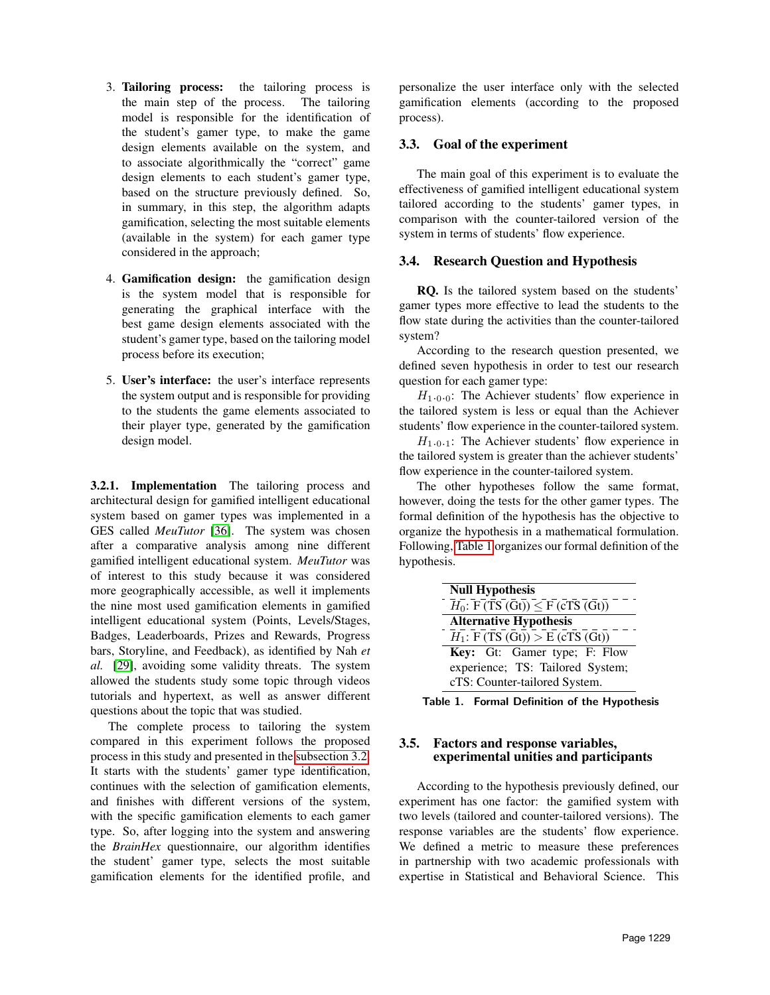- 3. Tailoring process: the tailoring process is the main step of the process. The tailoring model is responsible for the identification of the student's gamer type, to make the game design elements available on the system, and to associate algorithmically the "correct" game design elements to each student's gamer type, based on the structure previously defined. So, in summary, in this step, the algorithm adapts gamification, selecting the most suitable elements (available in the system) for each gamer type considered in the approach;
- 4. Gamification design: the gamification design is the system model that is responsible for generating the graphical interface with the best game design elements associated with the student's gamer type, based on the tailoring model process before its execution;
- 5. User's interface: the user's interface represents the system output and is responsible for providing to the students the game elements associated to their player type, generated by the gamification design model.

3.2.1. Implementation The tailoring process and architectural design for gamified intelligent educational system based on gamer types was implemented in a GES called *MeuTutor* [\[36\]](#page-9-3). The system was chosen after a comparative analysis among nine different gamified intelligent educational system. *MeuTutor* was of interest to this study because it was considered more geographically accessible, as well it implements the nine most used gamification elements in gamified intelligent educational system (Points, Levels/Stages, Badges, Leaderboards, Prizes and Rewards, Progress bars, Storyline, and Feedback), as identified by Nah *et al.* [\[29\]](#page-9-11), avoiding some validity threats. The system allowed the students study some topic through videos tutorials and hypertext, as well as answer different questions about the topic that was studied.

The complete process to tailoring the system compared in this experiment follows the proposed process in this study and presented in the [subsection 3.2.](#page-2-1) It starts with the students' gamer type identification, continues with the selection of gamification elements, and finishes with different versions of the system, with the specific gamification elements to each gamer type. So, after logging into the system and answering the *BrainHex* questionnaire, our algorithm identifies the student' gamer type, selects the most suitable gamification elements for the identified profile, and

personalize the user interface only with the selected gamification elements (according to the proposed process).

### 3.3. Goal of the experiment

The main goal of this experiment is to evaluate the effectiveness of gamified intelligent educational system tailored according to the students' gamer types, in comparison with the counter-tailored version of the system in terms of students' flow experience.

### 3.4. Research Question and Hypothesis

RQ. Is the tailored system based on the students' gamer types more effective to lead the students to the flow state during the activities than the counter-tailored system?

According to the research question presented, we defined seven hypothesis in order to test our research question for each gamer type:

 $H_{1,0,0}$ : The Achiever students' flow experience in the tailored system is less or equal than the Achiever students' flow experience in the counter-tailored system.

 $H_{1,0,1}$ : The Achiever students' flow experience in the tailored system is greater than the achiever students' flow experience in the counter-tailored system.

The other hypotheses follow the same format, however, doing the tests for the other gamer types. The formal definition of the hypothesis has the objective to organize the hypothesis in a mathematical formulation. Following, [Table 1](#page-3-0) organizes our formal definition of the hypothesis.

| <b>Null Hypothesis</b>                                               |  |  |  |
|----------------------------------------------------------------------|--|--|--|
| $\overline{H_0}$ : $\overline{F(TS(Gt))} \leq \overline{F(GTS(Gt))}$ |  |  |  |
| <b>Alternative Hypothesis</b>                                        |  |  |  |
| $H_1$ : F (TS (Gt)) > E (cTS (Gt))                                   |  |  |  |
| <b>Key:</b> Gt: Gamer type; F: Flow                                  |  |  |  |
| experience; TS: Tailored System;                                     |  |  |  |
| cTS: Counter-tailored System.                                        |  |  |  |

<span id="page-3-0"></span>Table 1. Formal Definition of the Hypothesis

### 3.5. Factors and response variables, experimental unities and participants

According to the hypothesis previously defined, our experiment has one factor: the gamified system with two levels (tailored and counter-tailored versions). The response variables are the students' flow experience. We defined a metric to measure these preferences in partnership with two academic professionals with expertise in Statistical and Behavioral Science. This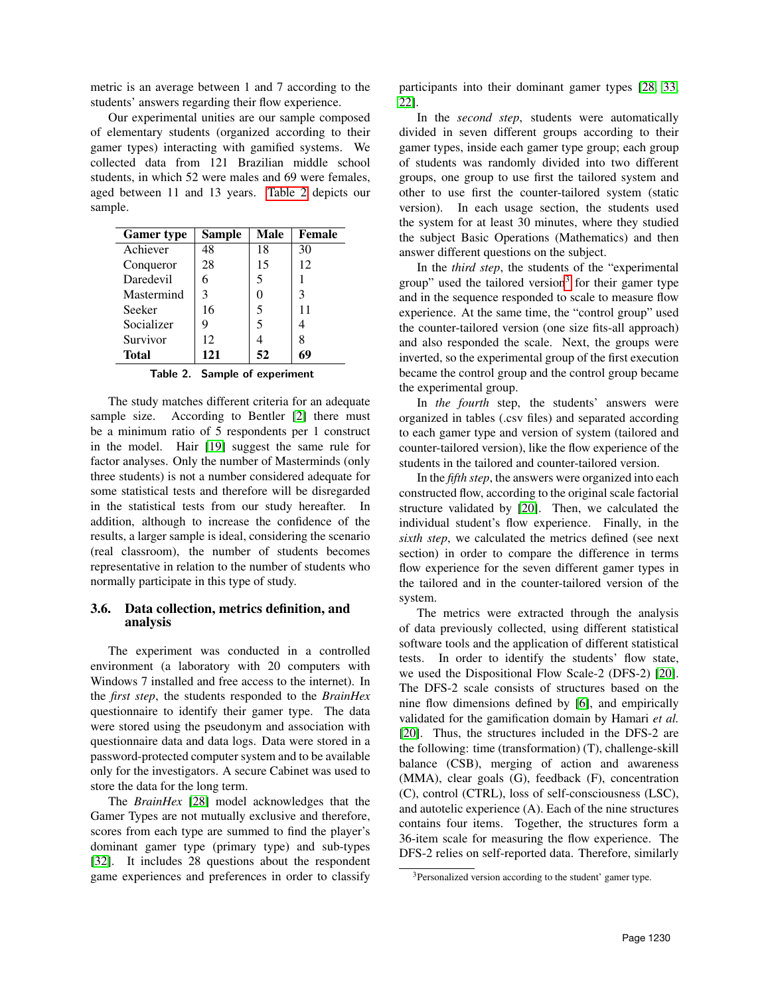metric is an average between 1 and 7 according to the students' answers regarding their flow experience.

Our experimental unities are our sample composed of elementary students (organized according to their gamer types) interacting with gamified systems. We collected data from 121 Brazilian middle school students, in which 52 were males and 69 were females, aged between 11 and 13 years. [Table 2](#page-4-0) depicts our sample.

| <b>Gamer</b> type | Sample | <b>Male</b> | <b>Female</b> |
|-------------------|--------|-------------|---------------|
| Achiever          | 48     | 18          | 30            |
| Conqueror         | 28     | 15          | 12            |
| Daredevil         | 6      | 5           | 1             |
| Mastermind        | 3      | 0           | 3             |
| Seeker            | 16     | 5           | 11            |
| Socializer        | 9      | 5           |               |
| Survivor          | 12     |             | 8             |
| Total             | 121    | 52          | 69            |

#### <span id="page-4-0"></span>Table 2. Sample of experiment

The study matches different criteria for an adequate sample size. According to Bentler [\[2\]](#page-8-10) there must be a minimum ratio of 5 respondents per 1 construct in the model. Hair [\[19\]](#page-9-20) suggest the same rule for factor analyses. Only the number of Masterminds (only three students) is not a number considered adequate for some statistical tests and therefore will be disregarded in the statistical tests from our study hereafter. In addition, although to increase the confidence of the results, a larger sample is ideal, considering the scenario (real classroom), the number of students becomes representative in relation to the number of students who normally participate in this type of study.

### 3.6. Data collection, metrics definition, and analysis

The experiment was conducted in a controlled environment (a laboratory with 20 computers with Windows 7 installed and free access to the internet). In the *first step*, the students responded to the *BrainHex* questionnaire to identify their gamer type. The data were stored using the pseudonym and association with questionnaire data and data logs. Data were stored in a password-protected computer system and to be available only for the investigators. A secure Cabinet was used to store the data for the long term.

The *BrainHex* [\[28\]](#page-9-10) model acknowledges that the Gamer Types are not mutually exclusive and therefore, scores from each type are summed to find the player's dominant gamer type (primary type) and sub-types [\[32\]](#page-9-5). It includes 28 questions about the respondent game experiences and preferences in order to classify

participants into their dominant gamer types [\[28,](#page-9-10) [33,](#page-9-0) [22\]](#page-9-21).

In the *second step*, students were automatically divided in seven different groups according to their gamer types, inside each gamer type group; each group of students was randomly divided into two different groups, one group to use first the tailored system and other to use first the counter-tailored system (static version). In each usage section, the students used the system for at least 30 minutes, where they studied the subject Basic Operations (Mathematics) and then answer different questions on the subject.

In the *third step*, the students of the "experimental group" used the tailored version<sup>[3](#page-4-1)</sup> for their gamer type and in the sequence responded to scale to measure flow experience. At the same time, the "control group" used the counter-tailored version (one size fits-all approach) and also responded the scale. Next, the groups were inverted, so the experimental group of the first execution became the control group and the control group became the experimental group.

In *the fourth* step, the students' answers were organized in tables (.csv files) and separated according to each gamer type and version of system (tailored and counter-tailored version), like the flow experience of the students in the tailored and counter-tailored version.

In the *fifth step*, the answers were organized into each constructed flow, according to the original scale factorial structure validated by [\[20\]](#page-9-22). Then, we calculated the individual student's flow experience. Finally, in the *sixth step*, we calculated the metrics defined (see next section) in order to compare the difference in terms flow experience for the seven different gamer types in the tailored and in the counter-tailored version of the system.

The metrics were extracted through the analysis of data previously collected, using different statistical software tools and the application of different statistical tests. In order to identify the students' flow state, we used the Dispositional Flow Scale-2 (DFS-2) [\[20\]](#page-9-22). The DFS-2 scale consists of structures based on the nine flow dimensions defined by [\[6\]](#page-8-4), and empirically validated for the gamification domain by Hamari *et al.* [\[20\]](#page-9-22). Thus, the structures included in the DFS-2 are the following: time (transformation) (T), challenge-skill balance (CSB), merging of action and awareness (MMA), clear goals (G), feedback (F), concentration (C), control (CTRL), loss of self-consciousness (LSC), and autotelic experience (A). Each of the nine structures contains four items. Together, the structures form a 36-item scale for measuring the flow experience. The DFS-2 relies on self-reported data. Therefore, similarly

<span id="page-4-1"></span><sup>3</sup>Personalized version according to the student' gamer type.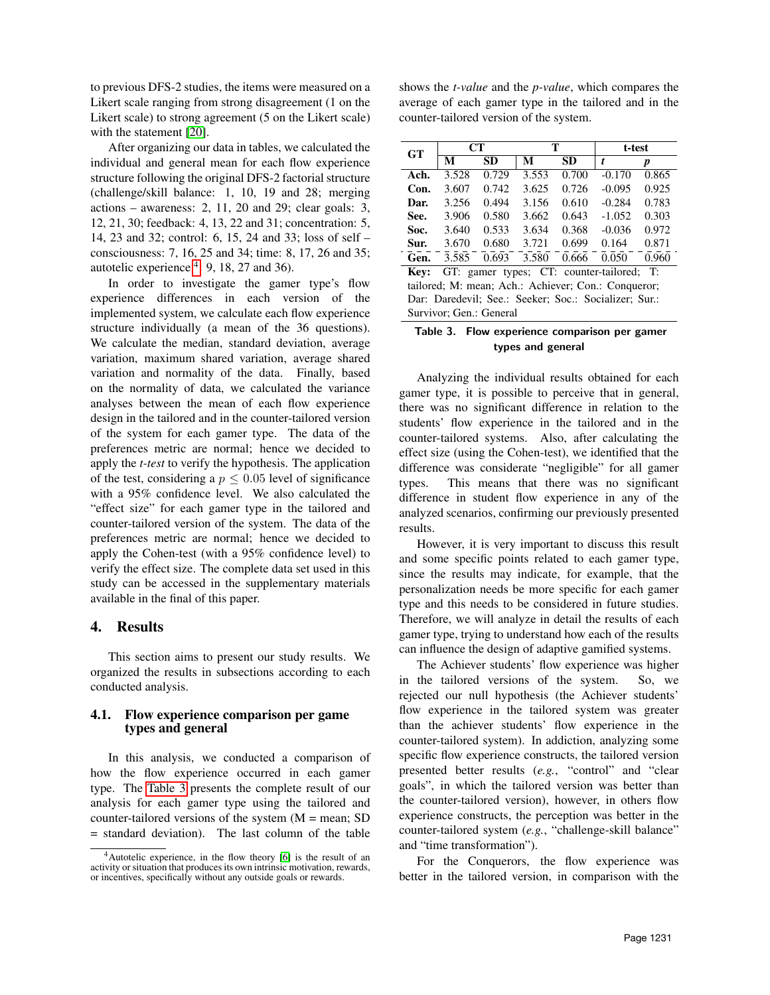to previous DFS-2 studies, the items were measured on a Likert scale ranging from strong disagreement (1 on the Likert scale) to strong agreement (5 on the Likert scale) with the statement [\[20\]](#page-9-22).

After organizing our data in tables, we calculated the individual and general mean for each flow experience structure following the original DFS-2 factorial structure (challenge/skill balance: 1, 10, 19 and 28; merging actions – awareness:  $2$ ,  $11$ ,  $20$  and  $29$ ; clear goals:  $3$ , 12, 21, 30; feedback: 4, 13, 22 and 31; concentration: 5, 14, 23 and 32; control: 6, 15, 24 and 33; loss of self – consciousness: 7, 16, 25 and 34; time: 8, 17, 26 and 35; autotelic experience  $4: 9, 18, 27$  $4: 9, 18, 27$  and 36).

In order to investigate the gamer type's flow experience differences in each version of the implemented system, we calculate each flow experience structure individually (a mean of the 36 questions). We calculate the median, standard deviation, average variation, maximum shared variation, average shared variation and normality of the data. Finally, based on the normality of data, we calculated the variance analyses between the mean of each flow experience design in the tailored and in the counter-tailored version of the system for each gamer type. The data of the preferences metric are normal; hence we decided to apply the *t-test* to verify the hypothesis. The application of the test, considering a  $p \leq 0.05$  level of significance with a 95% confidence level. We also calculated the "effect size" for each gamer type in the tailored and counter-tailored version of the system. The data of the preferences metric are normal; hence we decided to apply the Cohen-test (with a 95% confidence level) to verify the effect size. The complete data set used in this study can be accessed in the supplementary materials available in the final of this paper.

### 4. Results

This section aims to present our study results. We organized the results in subsections according to each conducted analysis.

### 4.1. Flow experience comparison per game types and general

In this analysis, we conducted a comparison of how the flow experience occurred in each gamer type. The [Table 3](#page-5-1) presents the complete result of our analysis for each gamer type using the tailored and counter-tailored versions of the system  $(M = \text{mean}; SD)$ = standard deviation). The last column of the table

shows the *t-value* and the *p-value*, which compares the average of each gamer type in the tailored and in the counter-tailored version of the system.

| $G$ T | <b>CT</b> |           |       | т     | t-test   |       |
|-------|-----------|-----------|-------|-------|----------|-------|
|       | М         | <b>SD</b> | М     | SD    | t        | p     |
| Ach.  | 3.528     | 0.729     | 3.553 | 0.700 | $-0.170$ | 0.865 |
| Con.  | 3.607     | 0.742     | 3.625 | 0.726 | $-0.095$ | 0.925 |
| Dar.  | 3.256     | 0.494     | 3.156 | 0.610 | $-0.284$ | 0.783 |
| See.  | 3.906     | 0.580     | 3.662 | 0.643 | $-1.052$ | 0.303 |
| Soc.  | 3.640     | 0.533     | 3.634 | 0.368 | $-0.036$ | 0.972 |
| Sur.  | 3.670     | 0.680     | 3.721 | 0.699 | 0.164    | 0.871 |
| Gen.  | 3.585     | 0.693     | 3.580 | 0.666 | 0.050    | 0.960 |

Key: GT: gamer types; CT: counter-tailored; T: tailored; M: mean; Ach.: Achiever; Con.: Conqueror; Dar: Daredevil; See.: Seeker; Soc.: Socializer; Sur.: Survivor; Gen.: General

#### <span id="page-5-1"></span>Table 3. Flow experience comparison per gamer types and general

Analyzing the individual results obtained for each gamer type, it is possible to perceive that in general, there was no significant difference in relation to the students' flow experience in the tailored and in the counter-tailored systems. Also, after calculating the effect size (using the Cohen-test), we identified that the difference was considerate "negligible" for all gamer types. This means that there was no significant difference in student flow experience in any of the analyzed scenarios, confirming our previously presented results.

However, it is very important to discuss this result and some specific points related to each gamer type, since the results may indicate, for example, that the personalization needs be more specific for each gamer type and this needs to be considered in future studies. Therefore, we will analyze in detail the results of each gamer type, trying to understand how each of the results can influence the design of adaptive gamified systems.

The Achiever students' flow experience was higher in the tailored versions of the system. So, we rejected our null hypothesis (the Achiever students' flow experience in the tailored system was greater than the achiever students' flow experience in the counter-tailored system). In addiction, analyzing some specific flow experience constructs, the tailored version presented better results (*e.g.*, "control" and "clear goals", in which the tailored version was better than the counter-tailored version), however, in others flow experience constructs, the perception was better in the counter-tailored system (*e.g.*, "challenge-skill balance" and "time transformation").

For the Conquerors, the flow experience was better in the tailored version, in comparison with the

<span id="page-5-0"></span><sup>&</sup>lt;sup>4</sup>Autotelic experience, in the flow theory [\[6\]](#page-8-4) is the result of an activity or situation that produces its own intrinsic motivation, rewards, or incentives, specifically without any outside goals or rewards.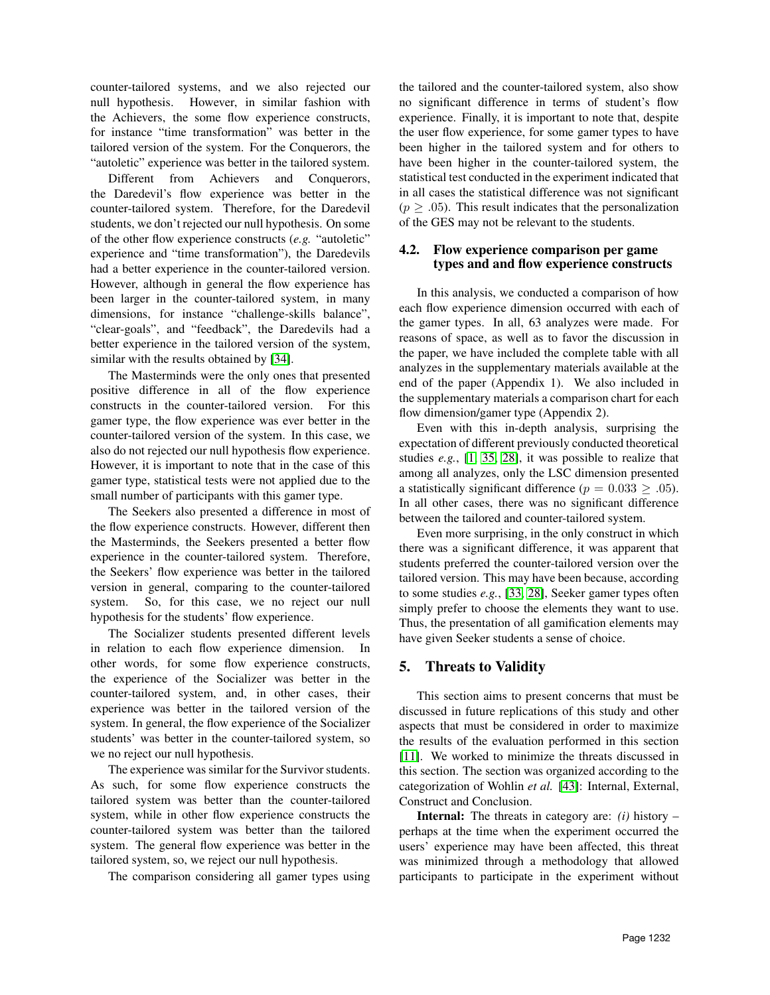counter-tailored systems, and we also rejected our null hypothesis. However, in similar fashion with the Achievers, the some flow experience constructs, for instance "time transformation" was better in the tailored version of the system. For the Conquerors, the "autoletic" experience was better in the tailored system.

Different from Achievers and Conquerors, the Daredevil's flow experience was better in the counter-tailored system. Therefore, for the Daredevil students, we don't rejected our null hypothesis. On some of the other flow experience constructs (*e.g.* "autoletic" experience and "time transformation"), the Daredevils had a better experience in the counter-tailored version. However, although in general the flow experience has been larger in the counter-tailored system, in many dimensions, for instance "challenge-skills balance", "clear-goals", and "feedback", the Daredevils had a better experience in the tailored version of the system, similar with the results obtained by [\[34\]](#page-9-23).

The Masterminds were the only ones that presented positive difference in all of the flow experience constructs in the counter-tailored version. For this gamer type, the flow experience was ever better in the counter-tailored version of the system. In this case, we also do not rejected our null hypothesis flow experience. However, it is important to note that in the case of this gamer type, statistical tests were not applied due to the small number of participants with this gamer type.

The Seekers also presented a difference in most of the flow experience constructs. However, different then the Masterminds, the Seekers presented a better flow experience in the counter-tailored system. Therefore, the Seekers' flow experience was better in the tailored version in general, comparing to the counter-tailored system. So, for this case, we no reject our null hypothesis for the students' flow experience.

The Socializer students presented different levels in relation to each flow experience dimension. In other words, for some flow experience constructs, the experience of the Socializer was better in the counter-tailored system, and, in other cases, their experience was better in the tailored version of the system. In general, the flow experience of the Socializer students' was better in the counter-tailored system, so we no reject our null hypothesis.

The experience was similar for the Survivor students. As such, for some flow experience constructs the tailored system was better than the counter-tailored system, while in other flow experience constructs the counter-tailored system was better than the tailored system. The general flow experience was better in the tailored system, so, we reject our null hypothesis.

The comparison considering all gamer types using

the tailored and the counter-tailored system, also show no significant difference in terms of student's flow experience. Finally, it is important to note that, despite the user flow experience, for some gamer types to have been higher in the tailored system and for others to have been higher in the counter-tailored system, the statistical test conducted in the experiment indicated that in all cases the statistical difference was not significant  $(p \geq .05)$ . This result indicates that the personalization of the GES may not be relevant to the students.

#### 4.2. Flow experience comparison per game types and and flow experience constructs

In this analysis, we conducted a comparison of how each flow experience dimension occurred with each of the gamer types. In all, 63 analyzes were made. For reasons of space, as well as to favor the discussion in the paper, we have included the complete table with all analyzes in the supplementary materials available at the end of the paper (Appendix 1). We also included in the supplementary materials a comparison chart for each flow dimension/gamer type (Appendix 2).

Even with this in-depth analysis, surprising the expectation of different previously conducted theoretical studies *e.g.*, [\[1,](#page-8-11) [35,](#page-9-6) [28\]](#page-9-10), it was possible to realize that among all analyzes, only the LSC dimension presented a statistically significant difference ( $p = 0.033 \ge .05$ ). In all other cases, there was no significant difference between the tailored and counter-tailored system.

Even more surprising, in the only construct in which there was a significant difference, it was apparent that students preferred the counter-tailored version over the tailored version. This may have been because, according to some studies *e.g.*, [\[33,](#page-9-0) [28\]](#page-9-10), Seeker gamer types often simply prefer to choose the elements they want to use. Thus, the presentation of all gamification elements may have given Seeker students a sense of choice.

#### 5. Threats to Validity

This section aims to present concerns that must be discussed in future replications of this study and other aspects that must be considered in order to maximize the results of the evaluation performed in this section [\[11\]](#page-8-12). We worked to minimize the threats discussed in this section. The section was organized according to the categorization of Wohlin *et al.* [\[43\]](#page-9-18): Internal, External, Construct and Conclusion.

Internal: The threats in category are: *(i)* history – perhaps at the time when the experiment occurred the users' experience may have been affected, this threat was minimized through a methodology that allowed participants to participate in the experiment without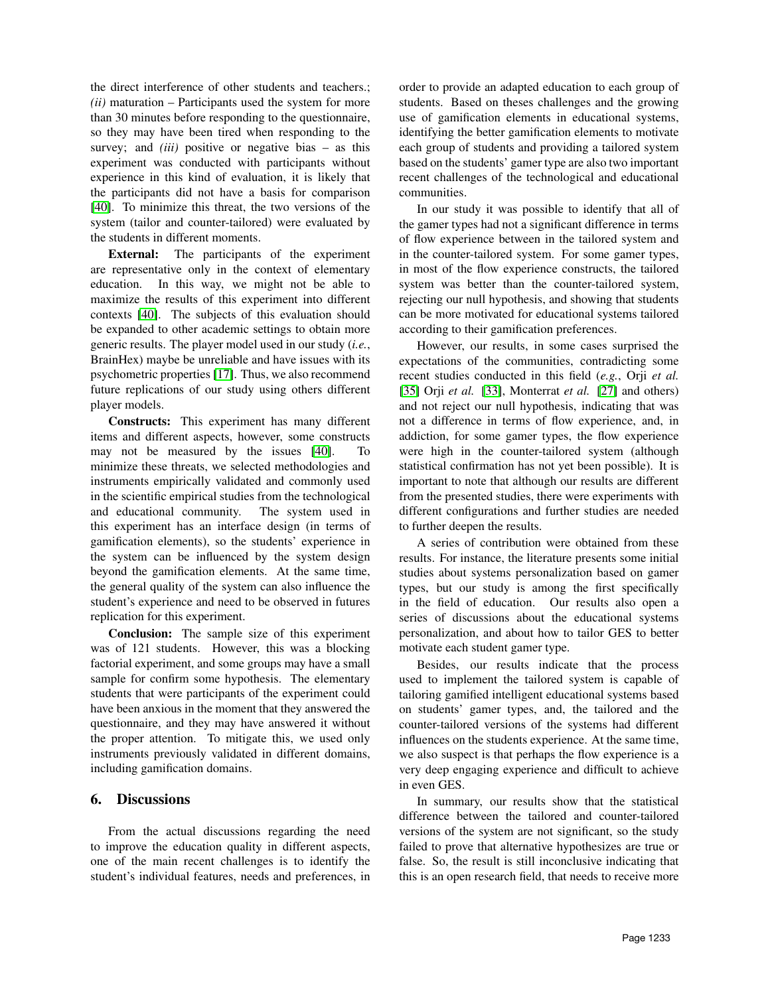the direct interference of other students and teachers.; *(ii)* maturation – Participants used the system for more than 30 minutes before responding to the questionnaire, so they may have been tired when responding to the survey; and *(iii)* positive or negative bias – as this experiment was conducted with participants without experience in this kind of evaluation, it is likely that the participants did not have a basis for comparison [\[40\]](#page-9-24). To minimize this threat, the two versions of the system (tailor and counter-tailored) were evaluated by the students in different moments.

External: The participants of the experiment are representative only in the context of elementary education. In this way, we might not be able to maximize the results of this experiment into different contexts [\[40\]](#page-9-24). The subjects of this evaluation should be expanded to other academic settings to obtain more generic results. The player model used in our study (*i.e.*, BrainHex) maybe be unreliable and have issues with its psychometric properties [\[17\]](#page-9-25). Thus, we also recommend future replications of our study using others different player models.

Constructs: This experiment has many different items and different aspects, however, some constructs may not be measured by the issues [\[40\]](#page-9-24). To minimize these threats, we selected methodologies and instruments empirically validated and commonly used in the scientific empirical studies from the technological and educational community. The system used in this experiment has an interface design (in terms of gamification elements), so the students' experience in the system can be influenced by the system design beyond the gamification elements. At the same time, the general quality of the system can also influence the student's experience and need to be observed in futures replication for this experiment.

Conclusion: The sample size of this experiment was of 121 students. However, this was a blocking factorial experiment, and some groups may have a small sample for confirm some hypothesis. The elementary students that were participants of the experiment could have been anxious in the moment that they answered the questionnaire, and they may have answered it without the proper attention. To mitigate this, we used only instruments previously validated in different domains, including gamification domains.

### 6. Discussions

From the actual discussions regarding the need to improve the education quality in different aspects, one of the main recent challenges is to identify the student's individual features, needs and preferences, in order to provide an adapted education to each group of students. Based on theses challenges and the growing use of gamification elements in educational systems, identifying the better gamification elements to motivate each group of students and providing a tailored system based on the students' gamer type are also two important recent challenges of the technological and educational communities.

In our study it was possible to identify that all of the gamer types had not a significant difference in terms of flow experience between in the tailored system and in the counter-tailored system. For some gamer types, in most of the flow experience constructs, the tailored system was better than the counter-tailored system, rejecting our null hypothesis, and showing that students can be more motivated for educational systems tailored according to their gamification preferences.

However, our results, in some cases surprised the expectations of the communities, contradicting some recent studies conducted in this field (*e.g.*, Orji *et al.* [\[35\]](#page-9-6) Orji *et al.* [\[33\]](#page-9-0), Monterrat *et al.* [\[27\]](#page-9-26) and others) and not reject our null hypothesis, indicating that was not a difference in terms of flow experience, and, in addiction, for some gamer types, the flow experience were high in the counter-tailored system (although statistical confirmation has not yet been possible). It is important to note that although our results are different from the presented studies, there were experiments with different configurations and further studies are needed to further deepen the results.

A series of contribution were obtained from these results. For instance, the literature presents some initial studies about systems personalization based on gamer types, but our study is among the first specifically in the field of education. Our results also open a series of discussions about the educational systems personalization, and about how to tailor GES to better motivate each student gamer type.

Besides, our results indicate that the process used to implement the tailored system is capable of tailoring gamified intelligent educational systems based on students' gamer types, and, the tailored and the counter-tailored versions of the systems had different influences on the students experience. At the same time, we also suspect is that perhaps the flow experience is a very deep engaging experience and difficult to achieve in even GES.

In summary, our results show that the statistical difference between the tailored and counter-tailored versions of the system are not significant, so the study failed to prove that alternative hypothesizes are true or false. So, the result is still inconclusive indicating that this is an open research field, that needs to receive more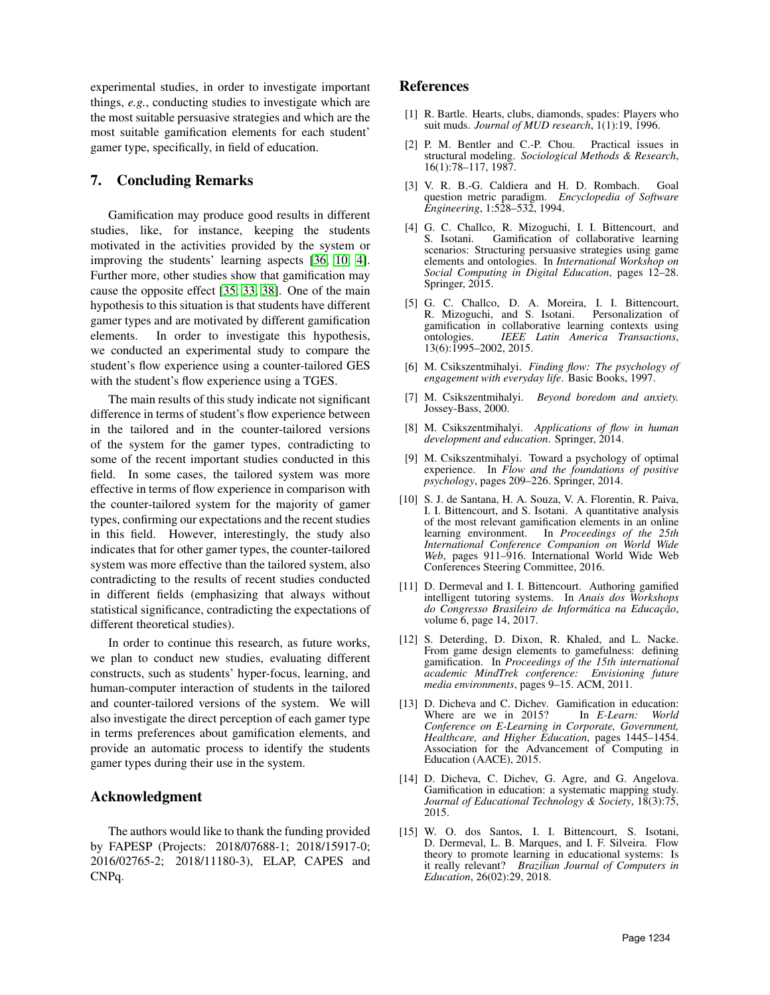experimental studies, in order to investigate important things, *e.g.*, conducting studies to investigate which are the most suitable persuasive strategies and which are the most suitable gamification elements for each student' gamer type, specifically, in field of education.

### 7. Concluding Remarks

Gamification may produce good results in different studies, like, for instance, keeping the students motivated in the activities provided by the system or improving the students' learning aspects [\[36,](#page-9-3) [10,](#page-8-13) [4\]](#page-8-14). Further more, other studies show that gamification may cause the opposite effect [\[35,](#page-9-6) [33,](#page-9-0) [38\]](#page-9-27). One of the main hypothesis to this situation is that students have different gamer types and are motivated by different gamification elements. In order to investigate this hypothesis, we conducted an experimental study to compare the student's flow experience using a counter-tailored GES with the student's flow experience using a TGES.

The main results of this study indicate not significant difference in terms of student's flow experience between in the tailored and in the counter-tailored versions of the system for the gamer types, contradicting to some of the recent important studies conducted in this field. In some cases, the tailored system was more effective in terms of flow experience in comparison with the counter-tailored system for the majority of gamer types, confirming our expectations and the recent studies in this field. However, interestingly, the study also indicates that for other gamer types, the counter-tailored system was more effective than the tailored system, also contradicting to the results of recent studies conducted in different fields (emphasizing that always without statistical significance, contradicting the expectations of different theoretical studies).

In order to continue this research, as future works, we plan to conduct new studies, evaluating different constructs, such as students' hyper-focus, learning, and human-computer interaction of students in the tailored and counter-tailored versions of the system. We will also investigate the direct perception of each gamer type in terms preferences about gamification elements, and provide an automatic process to identify the students gamer types during their use in the system.

### Acknowledgment

The authors would like to thank the funding provided by FAPESP (Projects: 2018/07688-1; 2018/15917-0; 2016/02765-2; 2018/11180-3), ELAP, CAPES and CNPq.

### References

- <span id="page-8-11"></span>[1] R. Bartle. Hearts, clubs, diamonds, spades: Players who suit muds. *Journal of MUD research*, 1(1):19, 1996.
- <span id="page-8-10"></span>[2] P. M. Bentler and C.-P. Chou. Practical issues in structural modeling. *Sociological Methods & Research*, 16(1):78–117, 1987.
- <span id="page-8-9"></span>[3] V. R. B.-G. Caldiera and H. D. Rombach. Goal question metric paradigm. *Encyclopedia of Software Engineering*, 1:528–532, 1994.
- <span id="page-8-14"></span>[4] G. C. Challco, R. Mizoguchi, I. I. Bittencourt, and Gamification of collaborative learning scenarios: Structuring persuasive strategies using game elements and ontologies. In *International Workshop on Social Computing in Digital Education*, pages 12–28. Springer, 2015.
- <span id="page-8-0"></span>[5] G. C. Challco, D. A. Moreira, I. I. Bittencourt, R. Mizoguchi, and S. Isotani. gamification in collaborative learning contexts using<br>ontologies. IEEE Latin America Transactions. ontologies. *IEEE Latin America Transactions*, 13(6):1995–2002, 2015.
- <span id="page-8-4"></span>[6] M. Csikszentmihalyi. *Finding flow: The psychology of engagement with everyday life*. Basic Books, 1997.
- <span id="page-8-6"></span>[7] M. Csikszentmihalyi. *Beyond boredom and anxiety.* Jossey-Bass, 2000.
- <span id="page-8-7"></span>[8] M. Csikszentmihalyi. *Applications of flow in human development and education*. Springer, 2014.
- <span id="page-8-5"></span>[9] M. Csikszentmihalyi. Toward a psychology of optimal experience. In *Flow and the foundations of positive psychology*, pages 209–226. Springer, 2014.
- <span id="page-8-13"></span>[10] S. J. de Santana, H. A. Souza, V. A. Florentin, R. Paiva, I. I. Bittencourt, and S. Isotani. A quantitative analysis of the most relevant gamification elements in an online learning environment. In *Proceedings of the 25th International Conference Companion on World Wide Web*, pages 911–916. International World Wide Web Conferences Steering Committee, 2016.
- <span id="page-8-12"></span>[11] D. Dermeval and I. I. Bittencourt. Authoring gamified intelligent tutoring systems. In *Anais dos Workshops do Congresso Brasileiro de Informatica na Educac¸ ´ ao˜* , volume 6, page 14, 2017.
- <span id="page-8-3"></span>[12] S. Deterding, D. Dixon, R. Khaled, and L. Nacke. From game design elements to gamefulness: defining gamification. In *Proceedings of the 15th international academic MindTrek conference: Envisioning future media environments*, pages 9–15. ACM, 2011.
- <span id="page-8-1"></span>[13] D. Dicheva and C. Dichev. Gamification in education: Where are we in 2015? In *E-Learn: World Conference on E-Learning in Corporate, Government, Healthcare, and Higher Education*, pages 1445–1454. Association for the Advancement of Computing in Education (AACE), 2015.
- <span id="page-8-2"></span>[14] D. Dicheva, C. Dichev, G. Agre, and G. Angelova. Gamification in education: a systematic mapping study. *Journal of Educational Technology & Society*, 18(3):75, 2015.
- <span id="page-8-8"></span>[15] W. O. dos Santos, I. I. Bittencourt, S. Isotani, D. Dermeval, L. B. Marques, and I. F. Silveira. Flow theory to promote learning in educational systems: Is it really relevant? *Brazilian Journal of Computers in Education*, 26(02):29, 2018.